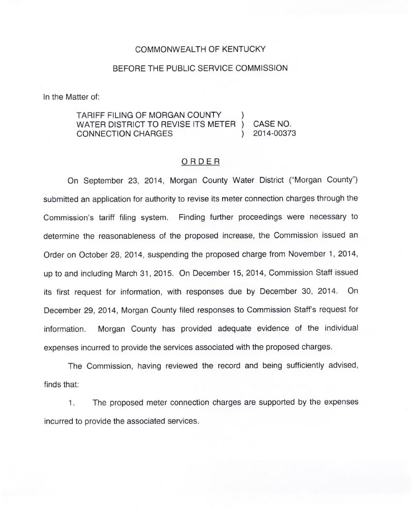#### COMMONWEALTH OF KENTUCKY

#### BEFORE THE PUBLIC SERVICE COMMISSION

In the Matter of:

### TARIFF FILING OF MORGAN COUNTY WATER DISTRICT TO REVISE ITS METER ) CASE NO.<br>CONNECTION CHARGES (2014-00373) CONNECTION CHARGES

#### ORDER

On September 23, 2014, Morgan County Water District ("Morgan County") submitted an application for authority to revise its meter connection charges through the Commission's tariff filing system. Finding further proceedings were necessary to determine the reasonableness of the proposed increase, the Commission issued an Order on October 28, 2014, suspending the proposed charge from November 1, 2014, up to and including March 31, 2015. On December 15, 2014, Commission Staff issued its first request for information, with responses due by December 30, 2014. On December 29, 2014, Morgan County filed responses to Commission Staff's request for information. Morgan County has provided adequate evidence of the individual expenses incurred to provide the services associated with the proposed charges.

The Commission, having reviewed the record and being sufficiently advised, finds that:

1. The proposed meter connection charges are supported by the expenses incurred to provide the associated services.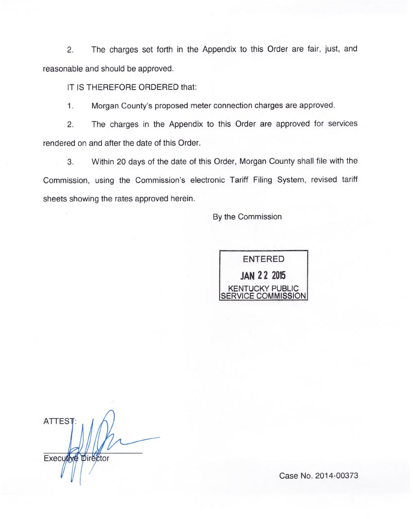2. The charges set forth in the Appendix to this Order are fair, just, and reasonable and should be approved.

IT IS THEREFORE ORDERED that:

 $\mathbf{1}$ . Morgan County's proposed meter connection charges are approved.

2. The charges in the Appendix to this Order are approved for services rendered on and after the date of this Order.

3. Within 20 days of the date of this Order, Morgan County shall file with the Commission, using the Commission's electronic Tariff Filing System, revised tariff sheets showing the rates approved herein.

By the Commission



**ATTEST** Executive Director

Case No. 2014-00373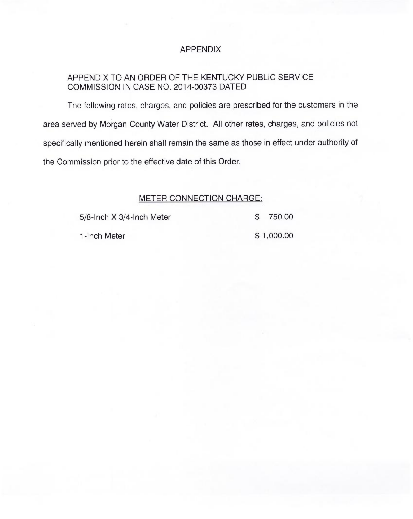## APPENDIX

# APPENDIX TO AN ORDER OF THE KENTUCKY PUBLIC SERVICE COMMISSION IN CASE NO. 2014-00373 DATED

The following rates, charges, and policies are prescribed for the customers in the area served by Morgan County Water District. All other rates, charges, and policies not specifically mentioned herein shall remain the same as those in effect under authority of the Commission prior to the effective date of this Order.

### METER CONNECTION CHARGE:

| 5/8-Inch X 3/4-Inch Meter | \$ 750.00  |
|---------------------------|------------|
| 1-Inch Meter              | \$1,000.00 |